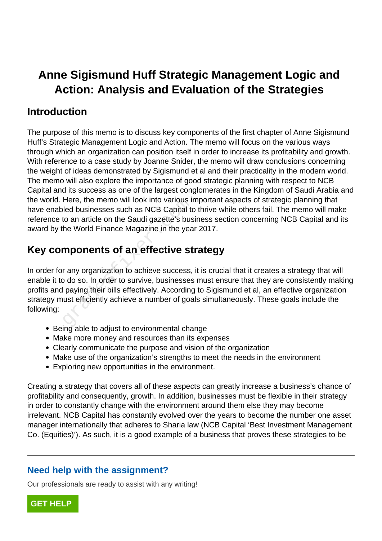# **Anne Sigismund Huff Strategic Management Logic and Action: Analysis and Evaluation of the Strategies**

#### **Introduction**

The purpose of this memo is to discuss key components of the first chapter of Anne Sigismund Huff's Strategic Management Logic and Action. The memo will focus on the various ways through which an organization can position itself in order to increase its profitability and growth. With reference to a case study by Joanne Snider, the memo will draw conclusions concerning the weight of ideas demonstrated by Sigismund et al and their practicality in the modern world. The memo will also explore the importance of good strategic planning with respect to NCB Capital and its success as one of the largest conglomerates in the Kingdom of Saudi Arabia and the world. Here, the memo will look into various important aspects of strategic planning that have enabled businesses such as NCB Capital to thrive while others fail. The memo will make reference to an article on the Saudi gazette's business section concerning NCB Capital and its award by the World Finance Magazine in the year 2017.

# **Key components of an effective strategy**

In order for any organization to achieve success, it is crucial that it creates a strategy that will enable it to do so. In order to survive, businesses must ensure that they are consistently making profits and paying their bills effectively. According to Sigismund et al, an effective organization strategy must efficiently achieve a number of goals simultaneously. These goals include the following: Here, the memo will look into various in<br>led businesses such as NCB Capital to<br>to an article on the Saudi gazette's bus<br>he World Finance Magazine in the yea<br>**mponents of an effective st**<br>r any organization to achieve succe

- Being able to adjust to environmental change
- Make more money and resources than its expenses
- Clearly communicate the purpose and vision of the organization
- Make use of the organization's strengths to meet the needs in the environment
- Exploring new opportunities in the environment.

Creating a strategy that covers all of these aspects can greatly increase a business's chance of profitability and consequently, growth. In addition, businesses must be flexible in their strategy in order to constantly change with the environment around them else they may become irrelevant. NCB Capital has constantly evolved over the years to become the number one asset manager internationally that adheres to Sharia law (NCB Capital 'Best Investment Management Co. (Equities)'). As such, it is a good example of a business that proves these strategies to be

#### **Need help with the assignment?**

Our professionals are ready to assist with any writing!

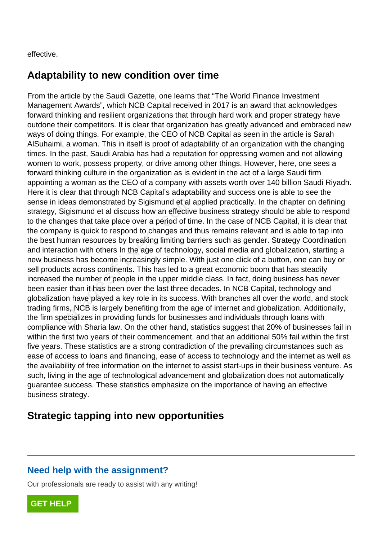#### effective.

#### **Adaptability to new condition over time**

From the article by the Saudi Gazette, one learns that "The World Finance Investment Management Awards", which NCB Capital received in 2017 is an award that acknowledges forward thinking and resilient organizations that through hard work and proper strategy have outdone their competitors. It is clear that organization has greatly advanced and embraced new ways of doing things. For example, the CEO of NCB Capital as seen in the article is Sarah AlSuhaimi, a woman. This in itself is proof of adaptability of an organization with the changing times. In the past, Saudi Arabia has had a reputation for oppressing women and not allowing women to work, possess property, or drive among other things. However, here, one sees a forward thinking culture in the organization as is evident in the act of a large Saudi firm appointing a woman as the CEO of a company with assets worth over 140 billion Saudi Riyadh. Here it is clear that through NCB Capital's adaptability and success one is able to see the sense in ideas demonstrated by Sigismund et al applied practically. In the chapter on defining strategy, Sigismund et al discuss how an effective business strategy should be able to respond to the changes that take place over a period of time. In the case of NCB Capital, it is clear that the company is quick to respond to changes and thus remains relevant and is able to tap into the best human resources by breaking limiting barriers such as gender. Strategy Coordination and interaction with others In the age of technology, social media and globalization, starting a new business has become increasingly simple. With just one click of a button, one can buy or sell products across continents. This has led to a great economic boom that has steadily increased the number of people in the upper middle class. In fact, doing business has never been easier than it has been over the last three decades. In NCB Capital, technology and globalization have played a key role in its success. With branches all over the world, and stock trading firms, NCB is largely benefiting from the age of internet and globalization. Additionally, the firm specializes in providing funds for businesses and individuals through loans with compliance with Sharia law. On the other hand, statistics suggest that 20% of businesses fail in within the first two years of their commencement, and that an additional 50% fail within the first five years. These statistics are a strong contradiction of the prevailing circumstances such as ease of access to loans and financing, ease of access to technology and the internet as well as the availability of free information on the internet to assist start-ups in their business venture. As such, living in the age of technological advancement and globalization does not automatically guarantee success. These statistics emphasize on the importance of having an effective business strategy. leas demonstrated by Sigismund et al a<br>Sigismund et al discuss how an effective<br>nges that take place over a period of tir<br>ny is quick to respond to changes and<br>uman resources by breaking limiting ba<br>ction with others In th

#### **Strategic tapping into new opportunities**

#### **Need help with the assignment?**

Our professionals are ready to assist with any writing!

**[GET HELP](https://my.gradesfixer.com/order?utm_campaign=pdf_sample)**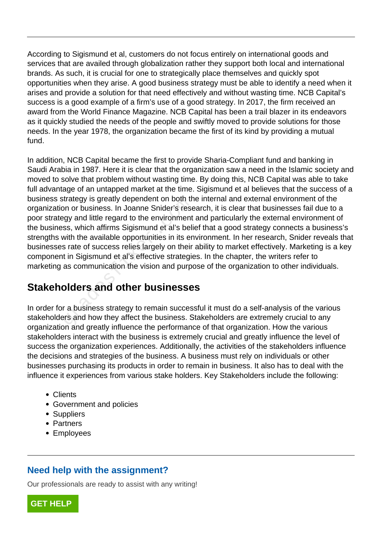According to Sigismund et al, customers do not focus entirely on international goods and services that are availed through globalization rather they support both local and international brands. As such, it is crucial for one to strategically place themselves and quickly spot opportunities when they arise. A good business strategy must be able to identify a need when it arises and provide a solution for that need effectively and without wasting time. NCB Capital's success is a good example of a firm's use of a good strategy. In 2017, the firm received an award from the World Finance Magazine. NCB Capital has been a trail blazer in its endeavors as it quickly studied the needs of the people and swiftly moved to provide solutions for those needs. In the year 1978, the organization became the first of its kind by providing a mutual fund.

In addition, NCB Capital became the first to provide Sharia-Compliant fund and banking in Saudi Arabia in 1987. Here it is clear that the organization saw a need in the Islamic society and moved to solve that problem without wasting time. By doing this, NCB Capital was able to take full advantage of an untapped market at the time. Sigismund et al believes that the success of a business strategy is greatly dependent on both the internal and external environment of the organization or business. In Joanne Snider's research, it is clear that businesses fail due to a poor strategy and little regard to the environment and particularly the external environment of the business, which affirms Sigismund et al's belief that a good strategy connects a business's strengths with the available opportunities in its environment. In her research, Snider reveals that businesses rate of success relies largely on their ability to market effectively. Marketing is a key component in Sigismund et al's effective strategies. In the chapter, the writers refer to marketing as communication the vision and purpose of the organization to other individuals. Trategy is greatly dependent on both transform or business. In Joanne Snider's researcy and little regard to the environment ss, which affirms Sigismund et al's believith the available opportunities in its ens rate of succ

## **Stakeholders and other businesses**

In order for a business strategy to remain successful it must do a self-analysis of the various stakeholders and how they affect the business. Stakeholders are extremely crucial to any organization and greatly influence the performance of that organization. How the various stakeholders interact with the business is extremely crucial and greatly influence the level of success the organization experiences. Additionally, the activities of the stakeholders influence the decisions and strategies of the business. A business must rely on individuals or other businesses purchasing its products in order to remain in business. It also has to deal with the influence it experiences from various stake holders. Key Stakeholders include the following:

- Clients
- Government and policies
- Suppliers
- Partners
- Employees

#### **Need help with the assignment?**

Our professionals are ready to assist with any writing!